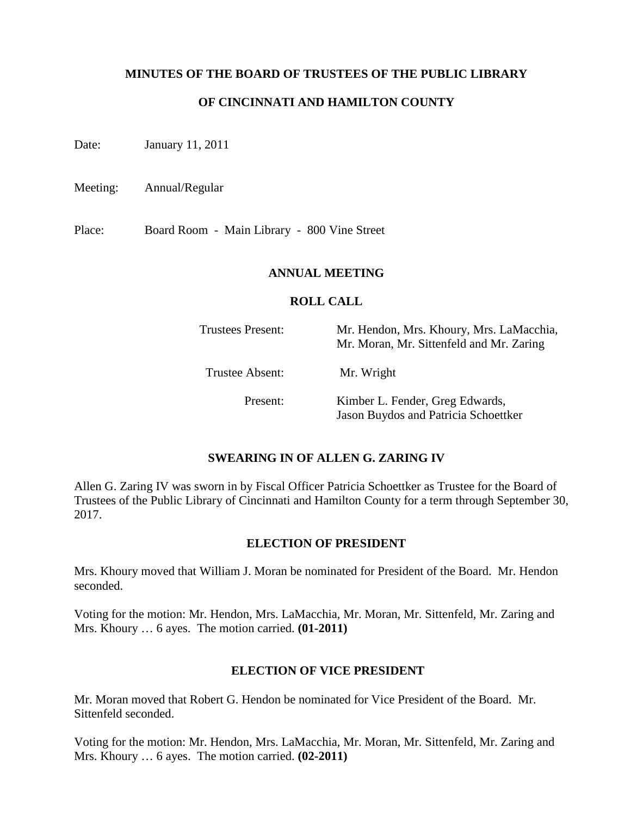# **MINUTES OF THE BOARD OF TRUSTEES OF THE PUBLIC LIBRARY**

# **OF CINCINNATI AND HAMILTON COUNTY**

Date: January 11, 2011

Meeting: Annual/Regular

Place: Board Room - Main Library - 800 Vine Street

#### **ANNUAL MEETING**

#### **ROLL CALL**

| Trustees Present: | Mr. Hendon, Mrs. Khoury, Mrs. LaMacchia,<br>Mr. Moran, Mr. Sittenfeld and Mr. Zaring |
|-------------------|--------------------------------------------------------------------------------------|
| Trustee Absent:   | Mr. Wright                                                                           |
| Present:          | Kimber L. Fender, Greg Edwards,<br>Jason Buydos and Patricia Schoettker              |

## **SWEARING IN OF ALLEN G. ZARING IV**

Allen G. Zaring IV was sworn in by Fiscal Officer Patricia Schoettker as Trustee for the Board of Trustees of the Public Library of Cincinnati and Hamilton County for a term through September 30, 2017.

#### **ELECTION OF PRESIDENT**

Mrs. Khoury moved that William J. Moran be nominated for President of the Board. Mr. Hendon seconded.

Voting for the motion: Mr. Hendon, Mrs. LaMacchia, Mr. Moran, Mr. Sittenfeld, Mr. Zaring and Mrs. Khoury … 6 ayes. The motion carried. **(01-2011)**

## **ELECTION OF VICE PRESIDENT**

Mr. Moran moved that Robert G. Hendon be nominated for Vice President of the Board. Mr. Sittenfeld seconded.

Voting for the motion: Mr. Hendon, Mrs. LaMacchia, Mr. Moran, Mr. Sittenfeld, Mr. Zaring and Mrs. Khoury … 6 ayes. The motion carried. **(02-2011)**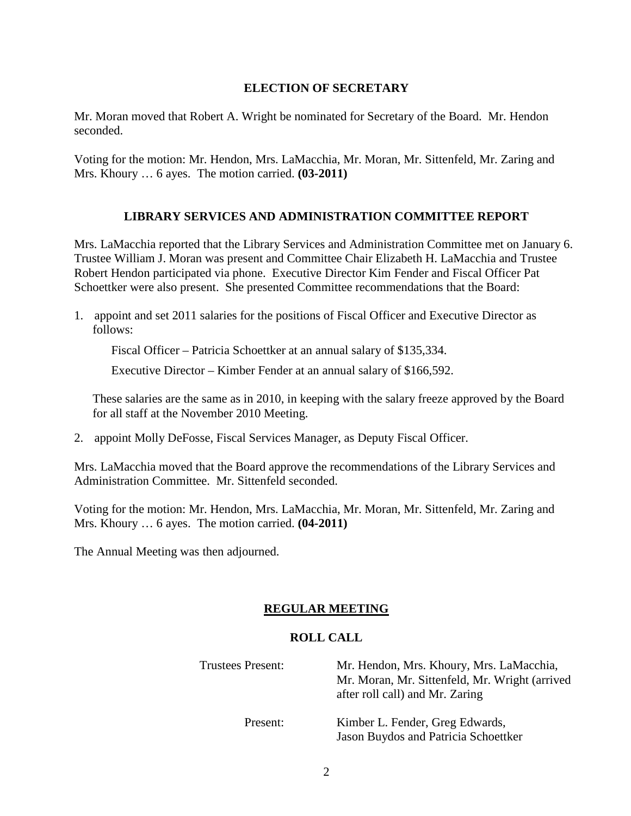# **ELECTION OF SECRETARY**

Mr. Moran moved that Robert A. Wright be nominated for Secretary of the Board. Mr. Hendon seconded.

Voting for the motion: Mr. Hendon, Mrs. LaMacchia, Mr. Moran, Mr. Sittenfeld, Mr. Zaring and Mrs. Khoury … 6 ayes. The motion carried. **(03-2011)**

# **LIBRARY SERVICES AND ADMINISTRATION COMMITTEE REPORT**

Mrs. LaMacchia reported that the Library Services and Administration Committee met on January 6. Trustee William J. Moran was present and Committee Chair Elizabeth H. LaMacchia and Trustee Robert Hendon participated via phone. Executive Director Kim Fender and Fiscal Officer Pat Schoettker were also present. She presented Committee recommendations that the Board:

1. appoint and set 2011 salaries for the positions of Fiscal Officer and Executive Director as follows:

Fiscal Officer – Patricia Schoettker at an annual salary of \$135,334.

Executive Director – Kimber Fender at an annual salary of \$166,592.

These salaries are the same as in 2010, in keeping with the salary freeze approved by the Board for all staff at the November 2010 Meeting.

2. appoint Molly DeFosse, Fiscal Services Manager, as Deputy Fiscal Officer.

Mrs. LaMacchia moved that the Board approve the recommendations of the Library Services and Administration Committee. Mr. Sittenfeld seconded.

Voting for the motion: Mr. Hendon, Mrs. LaMacchia, Mr. Moran, Mr. Sittenfeld, Mr. Zaring and Mrs. Khoury … 6 ayes. The motion carried. **(04-2011)**

The Annual Meeting was then adjourned.

# **REGULAR MEETING**

## **ROLL CALL**

| <b>Trustees Present:</b> | Mr. Hendon, Mrs. Khoury, Mrs. LaMacchia,<br>Mr. Moran, Mr. Sittenfeld, Mr. Wright (arrived<br>after roll call) and Mr. Zaring |
|--------------------------|-------------------------------------------------------------------------------------------------------------------------------|
| Present:                 | Kimber L. Fender, Greg Edwards,<br>Jason Buydos and Patricia Schoettker                                                       |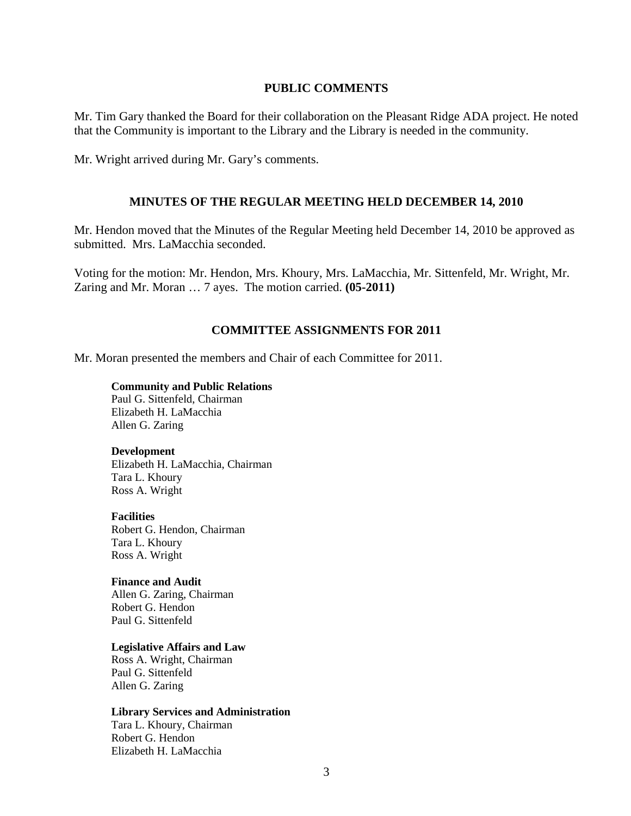#### **PUBLIC COMMENTS**

Mr. Tim Gary thanked the Board for their collaboration on the Pleasant Ridge ADA project. He noted that the Community is important to the Library and the Library is needed in the community.

Mr. Wright arrived during Mr. Gary's comments.

#### **MINUTES OF THE REGULAR MEETING HELD DECEMBER 14, 2010**

Mr. Hendon moved that the Minutes of the Regular Meeting held December 14, 2010 be approved as submitted. Mrs. LaMacchia seconded.

Voting for the motion: Mr. Hendon, Mrs. Khoury, Mrs. LaMacchia, Mr. Sittenfeld, Mr. Wright, Mr. Zaring and Mr. Moran … 7 ayes. The motion carried. **(05-2011)** 

#### **COMMITTEE ASSIGNMENTS FOR 2011**

Mr. Moran presented the members and Chair of each Committee for 2011.

#### **Community and Public Relations**

 Paul G. Sittenfeld, Chairman Elizabeth H. LaMacchia Allen G. Zaring

#### **Development**

Elizabeth H. LaMacchia, Chairman Tara L. Khoury Ross A. Wright

#### **Facilities**

Robert G. Hendon, Chairman Tara L. Khoury Ross A. Wright

#### **Finance and Audit**

 Allen G. Zaring, Chairman Robert G. Hendon Paul G. Sittenfeld

#### **Legislative Affairs and Law**

 Ross A. Wright, Chairman Paul G. Sittenfeld Allen G. Zaring

#### **Library Services and Administration**

Tara L. Khoury, Chairman Robert G. Hendon Elizabeth H. LaMacchia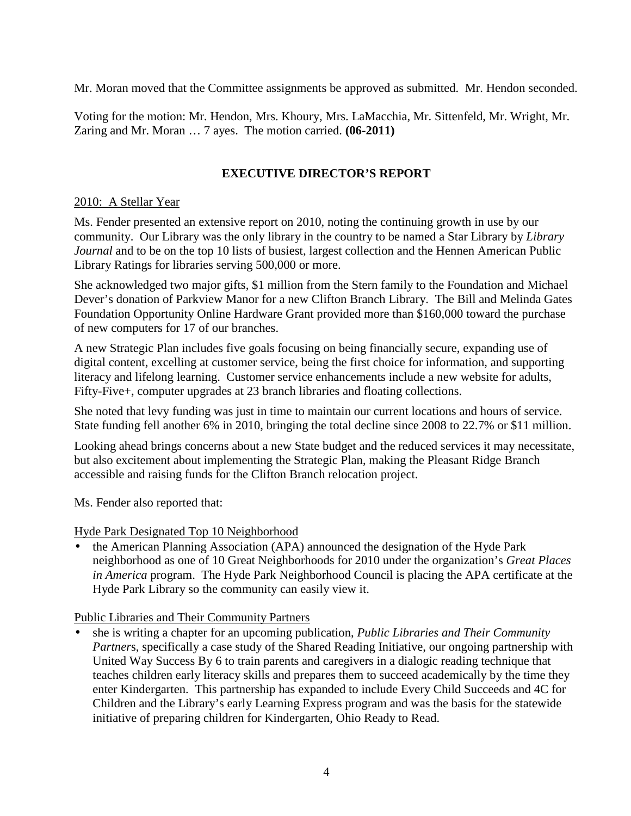Mr. Moran moved that the Committee assignments be approved as submitted. Mr. Hendon seconded.

Voting for the motion: Mr. Hendon, Mrs. Khoury, Mrs. LaMacchia, Mr. Sittenfeld, Mr. Wright, Mr. Zaring and Mr. Moran … 7 ayes. The motion carried. **(06-2011)** 

# **EXECUTIVE DIRECTOR'S REPORT**

# 2010: A Stellar Year

Ms. Fender presented an extensive report on 2010, noting the continuing growth in use by our community. Our Library was the only library in the country to be named a Star Library by *Library Journal* and to be on the top 10 lists of busiest, largest collection and the Hennen American Public Library Ratings for libraries serving 500,000 or more.

She acknowledged two major gifts, \$1 million from the Stern family to the Foundation and Michael Dever's donation of Parkview Manor for a new Clifton Branch Library. The Bill and Melinda Gates Foundation Opportunity Online Hardware Grant provided more than \$160,000 toward the purchase of new computers for 17 of our branches.

A new Strategic Plan includes five goals focusing on being financially secure, expanding use of digital content, excelling at customer service, being the first choice for information, and supporting literacy and lifelong learning. Customer service enhancements include a new website for adults, Fifty-Five+, computer upgrades at 23 branch libraries and floating collections.

She noted that levy funding was just in time to maintain our current locations and hours of service. State funding fell another 6% in 2010, bringing the total decline since 2008 to 22.7% or \$11 million.

Looking ahead brings concerns about a new State budget and the reduced services it may necessitate, but also excitement about implementing the Strategic Plan, making the Pleasant Ridge Branch accessible and raising funds for the Clifton Branch relocation project.

Ms. Fender also reported that:

## Hyde Park Designated Top 10 Neighborhood

• the American Planning Association (APA) announced the designation of the Hyde Park neighborhood as one of 10 Great Neighborhoods for 2010 under the organization's *Great Places in America* program. The Hyde Park Neighborhood Council is placing the APA certificate at the Hyde Park Library so the community can easily view it.

Public Libraries and Their Community Partners

• she is writing a chapter for an upcoming publication, *Public Libraries and Their Community Partner*s, specifically a case study of the Shared Reading Initiative, our ongoing partnership with United Way Success By 6 to train parents and caregivers in a dialogic reading technique that teaches children early literacy skills and prepares them to succeed academically by the time they enter Kindergarten. This partnership has expanded to include Every Child Succeeds and 4C for Children and the Library's early Learning Express program and was the basis for the statewide initiative of preparing children for Kindergarten, Ohio Ready to Read.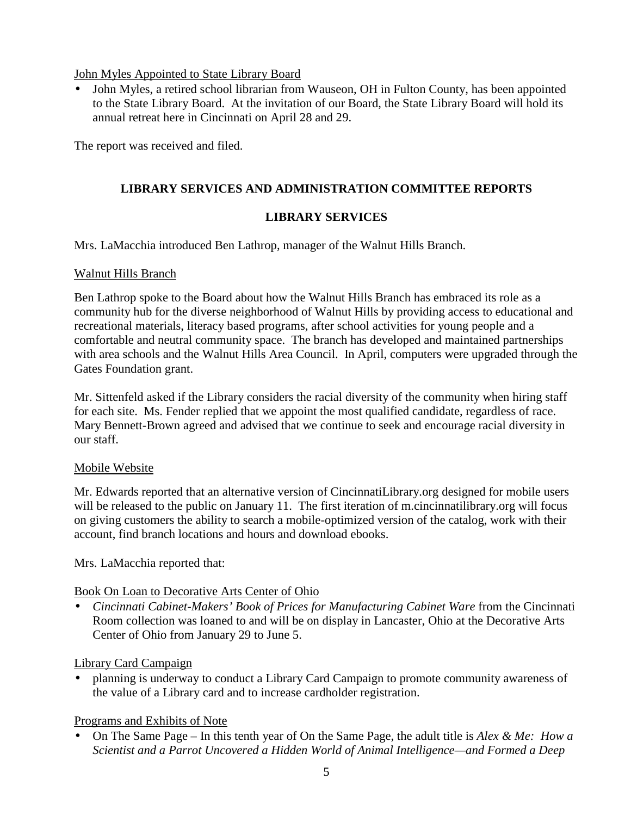# John Myles Appointed to State Library Board

• John Myles, a retired school librarian from Wauseon, OH in Fulton County, has been appointed to the State Library Board. At the invitation of our Board, the State Library Board will hold its annual retreat here in Cincinnati on April 28 and 29.

The report was received and filed.

# **LIBRARY SERVICES AND ADMINISTRATION COMMITTEE REPORTS**

# **LIBRARY SERVICES**

Mrs. LaMacchia introduced Ben Lathrop, manager of the Walnut Hills Branch.

# Walnut Hills Branch

Ben Lathrop spoke to the Board about how the Walnut Hills Branch has embraced its role as a community hub for the diverse neighborhood of Walnut Hills by providing access to educational and recreational materials, literacy based programs, after school activities for young people and a comfortable and neutral community space. The branch has developed and maintained partnerships with area schools and the Walnut Hills Area Council. In April, computers were upgraded through the Gates Foundation grant.

Mr. Sittenfeld asked if the Library considers the racial diversity of the community when hiring staff for each site. Ms. Fender replied that we appoint the most qualified candidate, regardless of race. Mary Bennett-Brown agreed and advised that we continue to seek and encourage racial diversity in our staff.

# Mobile Website

Mr. Edwards reported that an alternative version of CincinnatiLibrary.org designed for mobile users will be released to the public on January 11. The first iteration of m.cincinnatilibrary.org will focus on giving customers the ability to search a mobile-optimized version of the catalog, work with their account, find branch locations and hours and download ebooks.

Mrs. LaMacchia reported that:

# Book On Loan to Decorative Arts Center of Ohio

• *Cincinnati Cabinet-Makers' Book of Prices for Manufacturing Cabinet Ware* from the Cincinnati Room collection was loaned to and will be on display in Lancaster, Ohio at the Decorative Arts Center of Ohio from January 29 to June 5.

# Library Card Campaign

• planning is underway to conduct a Library Card Campaign to promote community awareness of the value of a Library card and to increase cardholder registration.

# Programs and Exhibits of Note

• On The Same Page – In this tenth year of On the Same Page, the adult title is *Alex & Me: How a Scientist and a Parrot Uncovered a Hidden World of Animal Intelligence—and Formed a Deep*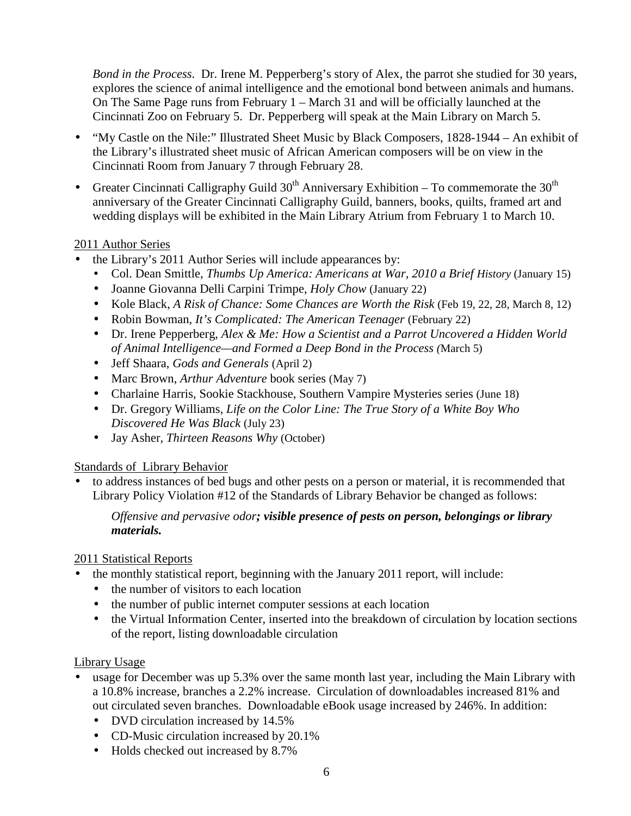*Bond in the Process*. Dr. Irene M. Pepperberg's story of Alex, the parrot she studied for 30 years, explores the science of animal intelligence and the emotional bond between animals and humans. On The Same Page runs from February 1 – March 31 and will be officially launched at the Cincinnati Zoo on February 5. Dr. Pepperberg will speak at the Main Library on March 5.

- "My Castle on the Nile:" Illustrated Sheet Music by Black Composers, 1828-1944 An exhibit of the Library's illustrated sheet music of African American composers will be on view in the Cincinnati Room from January 7 through February 28.
- Greater Cincinnati Calligraphy Guild  $30<sup>th</sup>$  Anniversary Exhibition To commemorate the  $30<sup>th</sup>$ anniversary of the Greater Cincinnati Calligraphy Guild, banners, books, quilts, framed art and wedding displays will be exhibited in the Main Library Atrium from February 1 to March 10.

# 2011 Author Series

- the Library's 2011 Author Series will include appearances by:
	- Col. Dean Smittle, *Thumbs Up America: Americans at War, 2010 a Brief History (January 15)*
	- Joanne Giovanna Delli Carpini Trimpe, *Holy Chow* (January 22)
	- Kole Black, *A Risk of Chance: Some Chances are Worth the Risk* (Feb 19, 22, 28, March 8, 12)
	- Robin Bowman, *It's Complicated: The American Teenager* (February 22)
	- Dr. Irene Pepperberg, *Alex & Me: How a Scientist and a Parrot Uncovered a Hidden World of Animal Intelligence—and Formed a Deep Bond in the Process (*March 5)
	- Jeff Shaara, *Gods and Generals* (April 2)
	- Marc Brown, *Arthur Adventure* book series (May 7)
	- Charlaine Harris, Sookie Stackhouse, Southern Vampire Mysteries series (June 18)
	- Dr. Gregory Williams, *Life on the Color Line: The True Story of a White Boy Who Discovered He Was Black* (July 23)
	- Jay Asher, *Thirteen Reasons Why* (October)

# Standards of Library Behavior

• to address instances of bed bugs and other pests on a person or material, it is recommended that Library Policy Violation #12 of the Standards of Library Behavior be changed as follows:

# *Offensive and pervasive odor; visible presence of pests on person, belongings or library materials.*

# 2011 Statistical Reports

- the monthly statistical report, beginning with the January 2011 report, will include:
	- the number of visitors to each location
	- the number of public internet computer sessions at each location
	- the Virtual Information Center, inserted into the breakdown of circulation by location sections of the report, listing downloadable circulation

# Library Usage

- usage for December was up 5.3% over the same month last year, including the Main Library with a 10.8% increase, branches a 2.2% increase. Circulation of downloadables increased 81% and out circulated seven branches. Downloadable eBook usage increased by 246%. In addition:
	- DVD circulation increased by 14.5%
	- CD-Music circulation increased by 20.1%
	- Holds checked out increased by 8.7%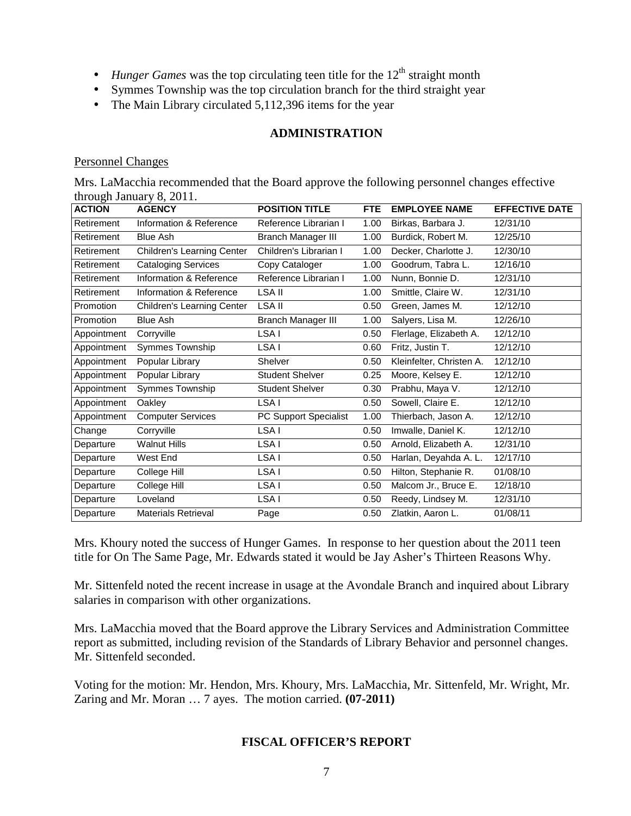- *Hunger Games* was the top circulating teen title for the  $12<sup>th</sup>$  straight month
- Symmes Township was the top circulation branch for the third straight year
- The Main Library circulated 5,112,396 items for the year

# **ADMINISTRATION**

#### Personnel Changes

Mrs. LaMacchia recommended that the Board approve the following personnel changes effective through January 8, 2011.

| <b>ACTION</b> | <b>AGENCY</b>              | <b>POSITION TITLE</b>     | <b>FTE</b> | <b>EMPLOYEE NAME</b>     | <b>EFFECTIVE DATE</b> |
|---------------|----------------------------|---------------------------|------------|--------------------------|-----------------------|
| Retirement    | Information & Reference    | Reference Librarian I     | 1.00       | Birkas, Barbara J.       | 12/31/10              |
| Retirement    | <b>Blue Ash</b>            | <b>Branch Manager III</b> | 1.00       | Burdick, Robert M.       | 12/25/10              |
| Retirement    | Children's Learning Center | Children's Librarian I    | 1.00       | Decker, Charlotte J.     | 12/30/10              |
| Retirement    | <b>Cataloging Services</b> | Copy Cataloger            | 1.00       | Goodrum, Tabra L.        | 12/16/10              |
| Retirement    | Information & Reference    | Reference Librarian I     | 1.00       | Nunn, Bonnie D.          | 12/31/10              |
| Retirement    | Information & Reference    | LSA II                    | 1.00       | Smittle, Claire W.       | 12/31/10              |
| Promotion     | Children's Learning Center | LSA II                    | 0.50       | Green, James M.          | 12/12/10              |
| Promotion     | <b>Blue Ash</b>            | Branch Manager III        | 1.00       | Salyers, Lisa M.         | 12/26/10              |
| Appointment   | Corryville                 | LSA I                     | 0.50       | Flerlage, Elizabeth A.   | 12/12/10              |
| Appointment   | Symmes Township            | LSA I                     | 0.60       | Fritz, Justin T.         | 12/12/10              |
| Appointment   | Popular Library            | Shelver                   | 0.50       | Kleinfelter, Christen A. | 12/12/10              |
| Appointment   | Popular Library            | <b>Student Shelver</b>    | 0.25       | Moore, Kelsey E.         | 12/12/10              |
| Appointment   | Symmes Township            | <b>Student Shelver</b>    | 0.30       | Prabhu, Maya V.          | 12/12/10              |
| Appointment   | Oakley                     | LSA I                     | 0.50       | Sowell, Claire E.        | 12/12/10              |
| Appointment   | <b>Computer Services</b>   | PC Support Specialist     | 1.00       | Thierbach, Jason A.      | 12/12/10              |
| Change        | Corryville                 | LSA I                     | 0.50       | Imwalle, Daniel K.       | 12/12/10              |
| Departure     | <b>Walnut Hills</b>        | LSA I                     | 0.50       | Arnold, Elizabeth A.     | 12/31/10              |
| Departure     | West End                   | LSA I                     | 0.50       | Harlan, Deyahda A. L.    | 12/17/10              |
| Departure     | College Hill               | LSA I                     | 0.50       | Hilton, Stephanie R.     | 01/08/10              |
| Departure     | College Hill               | LSA I                     | 0.50       | Malcom Jr., Bruce E.     | 12/18/10              |
| Departure     | Loveland                   | LSA I                     | 0.50       | Reedy, Lindsey M.        | 12/31/10              |
| Departure     | <b>Materials Retrieval</b> | Page                      | 0.50       | Zlatkin, Aaron L.        | 01/08/11              |

Mrs. Khoury noted the success of Hunger Games. In response to her question about the 2011 teen title for On The Same Page, Mr. Edwards stated it would be Jay Asher's Thirteen Reasons Why.

Mr. Sittenfeld noted the recent increase in usage at the Avondale Branch and inquired about Library salaries in comparison with other organizations.

Mrs. LaMacchia moved that the Board approve the Library Services and Administration Committee report as submitted, including revision of the Standards of Library Behavior and personnel changes. Mr. Sittenfeld seconded.

Voting for the motion: Mr. Hendon, Mrs. Khoury, Mrs. LaMacchia, Mr. Sittenfeld, Mr. Wright, Mr. Zaring and Mr. Moran … 7 ayes. The motion carried. **(07-2011)** 

# **FISCAL OFFICER'S REPORT**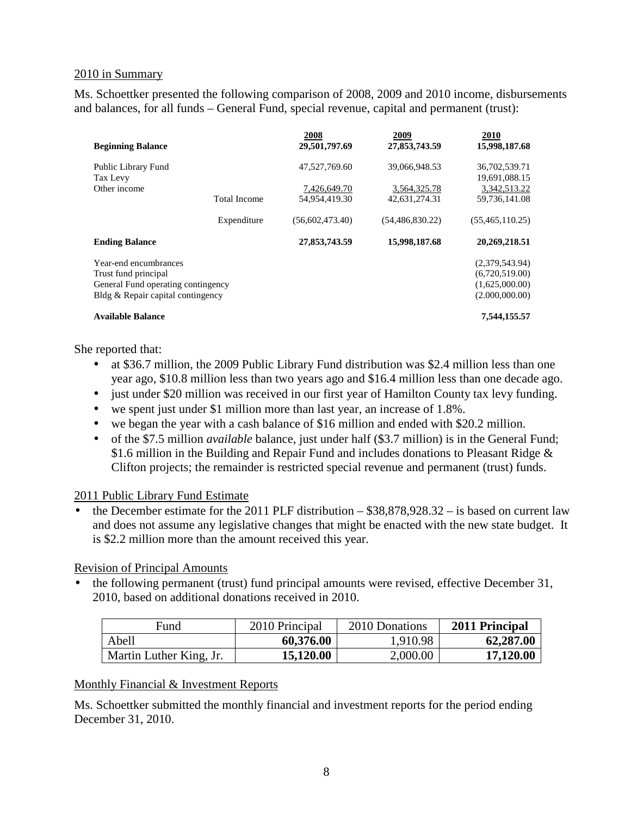## 2010 in Summary

Ms. Schoettker presented the following comparison of 2008, 2009 and 2010 income, disbursements and balances, for all funds – General Fund, special revenue, capital and permanent (trust):

| <b>Beginning Balance</b>           |                     | 2008<br>29,501,797.69 | 2009<br>27,853,743.59 | 2010<br>15,998,187.68          |
|------------------------------------|---------------------|-----------------------|-----------------------|--------------------------------|
| Public Library Fund<br>Tax Levy    |                     | 47,527,769.60         | 39.066.948.53         | 36,702,539.71<br>19,691,088.15 |
| Other income                       |                     | 7,426,649.70          | 3,564,325.78          | 3,342,513.22                   |
|                                    | <b>Total Income</b> | 54,954,419.30         | 42,631,274.31         | 59,736,141.08                  |
|                                    | Expenditure         | (56,602,473,40)       | (54, 486, 830.22)     | (55, 465, 110.25)              |
| <b>Ending Balance</b>              |                     | 27,853,743.59         | 15,998,187.68         | 20,269,218.51                  |
| Year-end encumbrances              |                     |                       |                       | (2,379,543.94)                 |
| Trust fund principal               |                     |                       |                       | (6,720,519.00)                 |
| General Fund operating contingency |                     |                       |                       | (1,625,000.00)                 |
| Bldg & Repair capital contingency  |                     |                       |                       | (2.000,000.00)                 |
| <b>Available Balance</b>           |                     |                       |                       | 7,544,155.57                   |

She reported that:

- at \$36.7 million, the 2009 Public Library Fund distribution was \$2.4 million less than one year ago, \$10.8 million less than two years ago and \$16.4 million less than one decade ago.
- just under \$20 million was received in our first year of Hamilton County tax levy funding.
- we spent just under \$1 million more than last year, an increase of 1.8%.
- we began the year with a cash balance of \$16 million and ended with \$20.2 million.
- of the \$7.5 million *available* balance, just under half (\$3.7 million) is in the General Fund; \$1.6 million in the Building and Repair Fund and includes donations to Pleasant Ridge  $\&$ Clifton projects; the remainder is restricted special revenue and permanent (trust) funds.

#### 2011 Public Library Fund Estimate

• the December estimate for the 2011 PLF distribution – \$38,878,928.32 – is based on current law and does not assume any legislative changes that might be enacted with the new state budget. It is \$2.2 million more than the amount received this year.

#### Revision of Principal Amounts

• the following permanent (trust) fund principal amounts were revised, effective December 31, 2010, based on additional donations received in 2010.

| Fund                    | 2010 Principal | 2010 Donations | 2011 Principal |
|-------------------------|----------------|----------------|----------------|
| Abell                   | 60,376.00      | 1,910.98       | 62,287.00      |
| Martin Luther King, Jr. | 15,120.00      | 2,000.00       | 17,120.00      |

#### Monthly Financial & Investment Reports

Ms. Schoettker submitted the monthly financial and investment reports for the period ending December 31, 2010.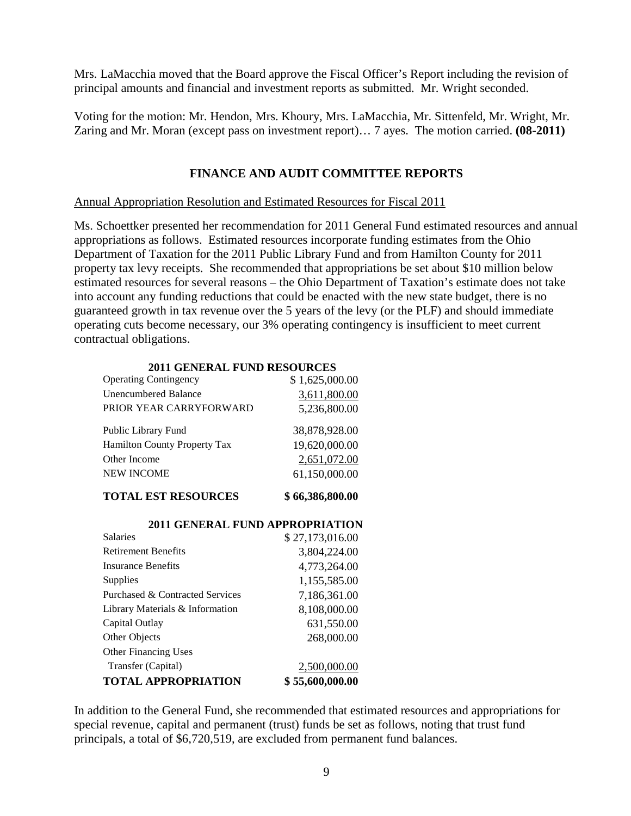Mrs. LaMacchia moved that the Board approve the Fiscal Officer's Report including the revision of principal amounts and financial and investment reports as submitted. Mr. Wright seconded.

Voting for the motion: Mr. Hendon, Mrs. Khoury, Mrs. LaMacchia, Mr. Sittenfeld, Mr. Wright, Mr. Zaring and Mr. Moran (except pass on investment report)… 7 ayes. The motion carried. **(08-2011)** 

# **FINANCE AND AUDIT COMMITTEE REPORTS**

Annual Appropriation Resolution and Estimated Resources for Fiscal 2011

Ms. Schoettker presented her recommendation for 2011 General Fund estimated resources and annual appropriations as follows. Estimated resources incorporate funding estimates from the Ohio Department of Taxation for the 2011 Public Library Fund and from Hamilton County for 2011 property tax levy receipts. She recommended that appropriations be set about \$10 million below estimated resources for several reasons – the Ohio Department of Taxation's estimate does not take into account any funding reductions that could be enacted with the new state budget, there is no guaranteed growth in tax revenue over the 5 years of the levy (or the PLF) and should immediate operating cuts become necessary, our 3% operating contingency is insufficient to meet current contractual obligations.

| 2011 GENERAL FUND RESOURCES         |                |
|-------------------------------------|----------------|
| <b>Operating Contingency</b>        | \$1,625,000.00 |
| <b>Unencumbered Balance</b>         | 3,611,800.00   |
| PRIOR YEAR CARRYFORWARD             | 5,236,800.00   |
| Public Library Fund                 | 38,878,928.00  |
| <b>Hamilton County Property Tax</b> | 19,620,000.00  |
| Other Income                        | 2,651,072.00   |
| <b>NEW INCOME</b>                   | 61,150,000.00  |
|                                     |                |

#### **2011 GENERAL FUND RESOURCES**

# **TOTAL EST RESOURCES** \$66,386,800.00

| <b>2011 GENERAL FUND APPROPRIATION</b> |                 |
|----------------------------------------|-----------------|
| <b>Salaries</b>                        | \$27,173,016.00 |
| <b>Retirement Benefits</b>             | 3,804,224.00    |
| <b>Insurance Benefits</b>              | 4,773,264.00    |
| Supplies                               | 1,155,585.00    |
| Purchased & Contracted Services        | 7,186,361.00    |
| Library Materials & Information        | 8,108,000.00    |
| Capital Outlay                         | 631,550.00      |
| Other Objects                          | 268,000.00      |
| <b>Other Financing Uses</b>            |                 |
| Transfer (Capital)                     | 2,500,000.00    |
| <b>TOTAL APPROPRIATION</b>             | \$55,600,000.00 |

In addition to the General Fund, she recommended that estimated resources and appropriations for special revenue, capital and permanent (trust) funds be set as follows, noting that trust fund principals, a total of \$6,720,519, are excluded from permanent fund balances.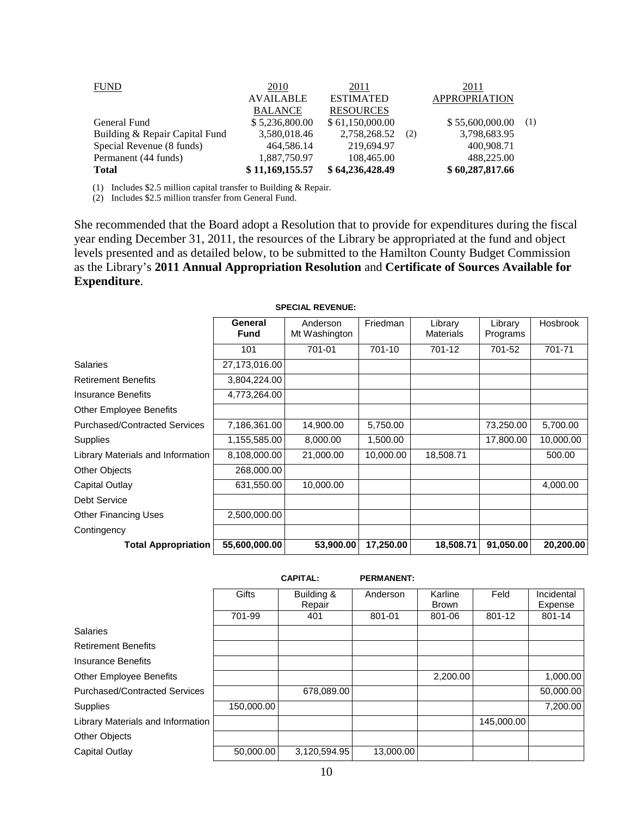| <b>FUND</b>                    | <u>2010</u>      | 2011             |     | <u>2011</u>          |     |
|--------------------------------|------------------|------------------|-----|----------------------|-----|
|                                | <b>AVAILABLE</b> | <b>ESTIMATED</b> |     | <b>APPROPRIATION</b> |     |
|                                | <b>BALANCE</b>   | <b>RESOURCES</b> |     |                      |     |
| General Fund                   | \$5,236,800.00   | \$61,150,000.00  |     | \$55,600,000.00      | (1) |
| Building & Repair Capital Fund | 3,580,018.46     | 2,758,268.52     | (2) | 3,798,683.95         |     |
| Special Revenue (8 funds)      | 464,586.14       | 219,694.97       |     | 400,908.71           |     |
| Permanent (44 funds)           | 1,887,750.97     | 108,465.00       |     | 488,225.00           |     |
| <b>Total</b>                   | \$11,169,155.57  | \$64,236,428.49  |     | \$60,287,817.66      |     |

(1) Includes \$2.5 million capital transfer to Building & Repair.

(2) Includes \$2.5 million transfer from General Fund.

She recommended that the Board adopt a Resolution that to provide for expenditures during the fiscal year ending December 31, 2011, the resources of the Library be appropriated at the fund and object levels presented and as detailed below, to be submitted to the Hamilton County Budget Commission as the Library's **2011 Annual Appropriation Resolution** and **Certificate of Sources Available for Expenditure**.

|                                      | General       | Anderson      | Friedman  | Library          | Library   | Hosbrook  |
|--------------------------------------|---------------|---------------|-----------|------------------|-----------|-----------|
|                                      | <b>Fund</b>   | Mt Washington |           | <b>Materials</b> | Programs  |           |
|                                      | 101           | 701-01        | 701-10    | 701-12           | 701-52    | 701-71    |
| Salaries                             | 27,173,016.00 |               |           |                  |           |           |
| <b>Retirement Benefits</b>           | 3,804,224.00  |               |           |                  |           |           |
| <b>Insurance Benefits</b>            | 4,773,264.00  |               |           |                  |           |           |
| <b>Other Employee Benefits</b>       |               |               |           |                  |           |           |
| <b>Purchased/Contracted Services</b> | 7,186,361.00  | 14,900.00     | 5,750.00  |                  | 73,250.00 | 5,700.00  |
| Supplies                             | 1,155,585.00  | 8,000.00      | 1,500.00  |                  | 17,800.00 | 10,000.00 |
| Library Materials and Information    | 8,108,000.00  | 21,000.00     | 10,000.00 | 18,508.71        |           | 500.00    |
| Other Objects                        | 268,000.00    |               |           |                  |           |           |
| Capital Outlay                       | 631,550.00    | 10,000.00     |           |                  |           | 4,000.00  |
| <b>Debt Service</b>                  |               |               |           |                  |           |           |
| <b>Other Financing Uses</b>          | 2,500,000.00  |               |           |                  |           |           |
| Contingency                          |               |               |           |                  |           |           |
| <b>Total Appropriation</b>           | 55,600,000.00 | 53,900.00     | 17,250.00 | 18,508.71        | 91,050.00 | 20,200.00 |

**SPECIAL REVENUE:**

|                                      |            | <b>CAPITAL:</b>      | <b>PERMANENT:</b> |                         |            |                       |
|--------------------------------------|------------|----------------------|-------------------|-------------------------|------------|-----------------------|
|                                      | Gifts      | Building &<br>Repair | Anderson          | Karline<br><b>Brown</b> | Feld       | Incidental<br>Expense |
|                                      | 701-99     | 401                  | 801-01            | 801-06                  | 801-12     | 801-14                |
| <b>Salaries</b>                      |            |                      |                   |                         |            |                       |
| <b>Retirement Benefits</b>           |            |                      |                   |                         |            |                       |
| <b>Insurance Benefits</b>            |            |                      |                   |                         |            |                       |
| <b>Other Employee Benefits</b>       |            |                      |                   | 2,200.00                |            | 1,000.00              |
| <b>Purchased/Contracted Services</b> |            | 678,089.00           |                   |                         |            | 50,000.00             |
| Supplies                             | 150,000.00 |                      |                   |                         |            | 7,200.00              |
| Library Materials and Information    |            |                      |                   |                         | 145,000.00 |                       |
| Other Objects                        |            |                      |                   |                         |            |                       |
| Capital Outlay                       | 50,000.00  | 3,120,594.95         | 13,000.00         |                         |            |                       |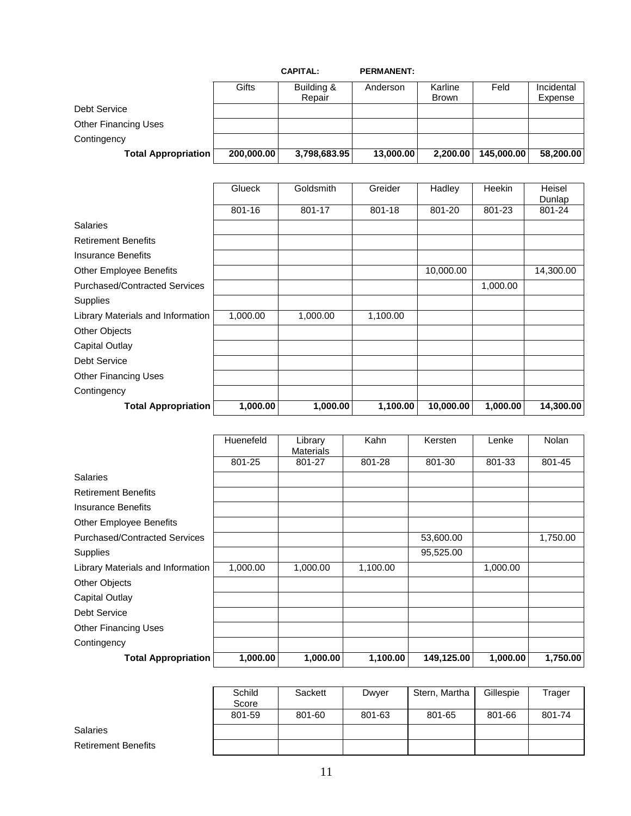|                             |            | <b>CAPITAL:</b> | <b>PERMANENT:</b> |              |            |            |
|-----------------------------|------------|-----------------|-------------------|--------------|------------|------------|
|                             | Gifts      | Building &      | Anderson          | Karline      | Feld       | Incidental |
|                             |            | Repair          |                   | <b>Brown</b> |            | Expense    |
| Debt Service                |            |                 |                   |              |            |            |
| <b>Other Financing Uses</b> |            |                 |                   |              |            |            |
| Contingency                 |            |                 |                   |              |            |            |
| <b>Total Appropriation</b>  | 200,000.00 | 3,798,683.95    | 13,000.00         | 2,200.00     | 145,000.00 | 58,200.00  |

|                                      | Glueck   | Goldsmith | Greider  | Hadley    | Heekin   | Heisel    |
|--------------------------------------|----------|-----------|----------|-----------|----------|-----------|
|                                      |          |           |          |           |          | Dunlap    |
|                                      | 801-16   | 801-17    | 801-18   | 801-20    | 801-23   | 801-24    |
| <b>Salaries</b>                      |          |           |          |           |          |           |
| <b>Retirement Benefits</b>           |          |           |          |           |          |           |
| <b>Insurance Benefits</b>            |          |           |          |           |          |           |
| <b>Other Employee Benefits</b>       |          |           |          | 10,000.00 |          | 14,300.00 |
| <b>Purchased/Contracted Services</b> |          |           |          |           | 1,000.00 |           |
| Supplies                             |          |           |          |           |          |           |
| Library Materials and Information    | 1,000.00 | 1,000.00  | 1,100.00 |           |          |           |
| <b>Other Objects</b>                 |          |           |          |           |          |           |
| Capital Outlay                       |          |           |          |           |          |           |
| <b>Debt Service</b>                  |          |           |          |           |          |           |
| <b>Other Financing Uses</b>          |          |           |          |           |          |           |
| Contingency                          |          |           |          |           |          |           |
| <b>Total Appropriation</b>           | 1,000.00 | 1,000.00  | 1,100.00 | 10,000.00 | 1,000.00 | 14,300.00 |

|                                      | Huenefeld | Library<br><b>Materials</b> | Kahn     | Kersten    | Lenke    | <b>Nolan</b> |
|--------------------------------------|-----------|-----------------------------|----------|------------|----------|--------------|
|                                      | 801-25    | 801-27                      | 801-28   | 801-30     | 801-33   | 801-45       |
| <b>Salaries</b>                      |           |                             |          |            |          |              |
| <b>Retirement Benefits</b>           |           |                             |          |            |          |              |
| Insurance Benefits                   |           |                             |          |            |          |              |
| <b>Other Employee Benefits</b>       |           |                             |          |            |          |              |
| <b>Purchased/Contracted Services</b> |           |                             |          | 53,600.00  |          | 1,750.00     |
| Supplies                             |           |                             |          | 95,525.00  |          |              |
| Library Materials and Information    | 1,000.00  | 1,000.00                    | 1,100.00 |            | 1,000.00 |              |
| Other Objects                        |           |                             |          |            |          |              |
| <b>Capital Outlay</b>                |           |                             |          |            |          |              |
| <b>Debt Service</b>                  |           |                             |          |            |          |              |
| <b>Other Financing Uses</b>          |           |                             |          |            |          |              |
| Contingency                          |           |                             |          |            |          |              |
| <b>Total Appropriation</b>           | 1,000.00  | 1,000.00                    | 1,100.00 | 149,125.00 | 1,000.00 | 1,750.00     |

|                            | Schild<br>Score | Sackett | Dwyer  | Stern, Martha | Gillespie | Trager |
|----------------------------|-----------------|---------|--------|---------------|-----------|--------|
|                            | 801-59          | 801-60  | 801-63 | 801-65        | 801-66    | 801-74 |
| <b>Salaries</b>            |                 |         |        |               |           |        |
| <b>Retirement Benefits</b> |                 |         |        |               |           |        |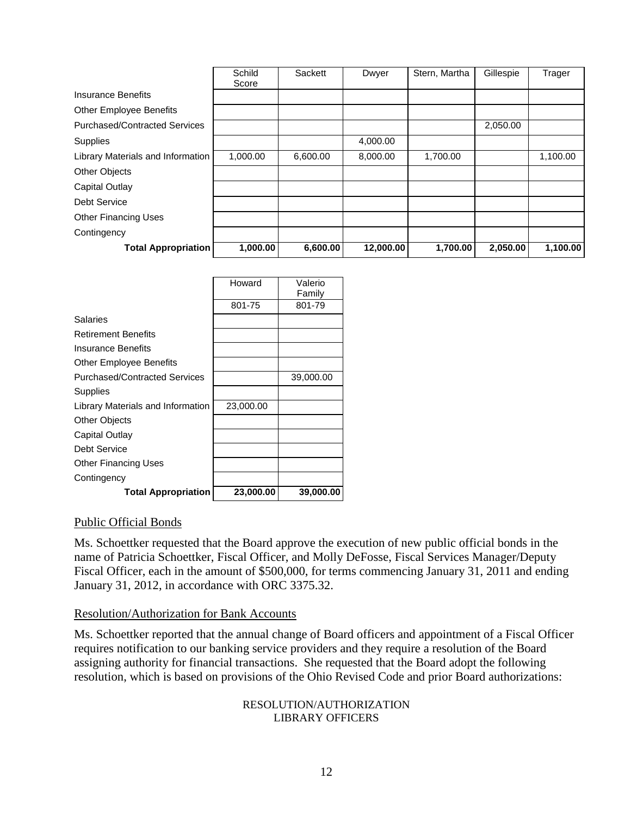|                                      | Schild   | Sackett  | Dwyer     | Stern, Martha | Gillespie | Trager   |
|--------------------------------------|----------|----------|-----------|---------------|-----------|----------|
|                                      | Score    |          |           |               |           |          |
| Insurance Benefits                   |          |          |           |               |           |          |
| <b>Other Employee Benefits</b>       |          |          |           |               |           |          |
| <b>Purchased/Contracted Services</b> |          |          |           |               | 2,050.00  |          |
| Supplies                             |          |          | 4,000.00  |               |           |          |
| Library Materials and Information    | 1,000.00 | 6,600.00 | 8,000.00  | 1,700.00      |           | 1,100.00 |
| <b>Other Objects</b>                 |          |          |           |               |           |          |
| Capital Outlay                       |          |          |           |               |           |          |
| <b>Debt Service</b>                  |          |          |           |               |           |          |
| <b>Other Financing Uses</b>          |          |          |           |               |           |          |
| Contingency                          |          |          |           |               |           |          |
| <b>Total Appropriation</b>           | 1,000.00 | 6,600.00 | 12,000.00 | 1,700.00      | 2,050.00  | 1,100.00 |

| <b>Total Appropriation</b>           | 23,000.00 | 39,000.00 |
|--------------------------------------|-----------|-----------|
| Contingency                          |           |           |
| <b>Other Financing Uses</b>          |           |           |
| Debt Service                         |           |           |
| Capital Outlay                       |           |           |
| <b>Other Objects</b>                 |           |           |
| Library Materials and Information    | 23,000.00 |           |
| Supplies                             |           |           |
| <b>Purchased/Contracted Services</b> |           | 39,000.00 |
| <b>Other Employee Benefits</b>       |           |           |
| Insurance Benefits                   |           |           |
| <b>Retirement Benefits</b>           |           |           |
| Salaries                             |           |           |
|                                      | 801-75    | 801-79    |
|                                      |           | Family    |
|                                      | Howard    | Valerio   |

## Public Official Bonds

Ms. Schoettker requested that the Board approve the execution of new public official bonds in the name of Patricia Schoettker, Fiscal Officer, and Molly DeFosse, Fiscal Services Manager/Deputy Fiscal Officer, each in the amount of \$500,000, for terms commencing January 31, 2011 and ending January 31, 2012, in accordance with ORC 3375.32.

## Resolution/Authorization for Bank Accounts

Ms. Schoettker reported that the annual change of Board officers and appointment of a Fiscal Officer requires notification to our banking service providers and they require a resolution of the Board assigning authority for financial transactions. She requested that the Board adopt the following resolution, which is based on provisions of the Ohio Revised Code and prior Board authorizations:

#### RESOLUTION/AUTHORIZATION LIBRARY OFFICERS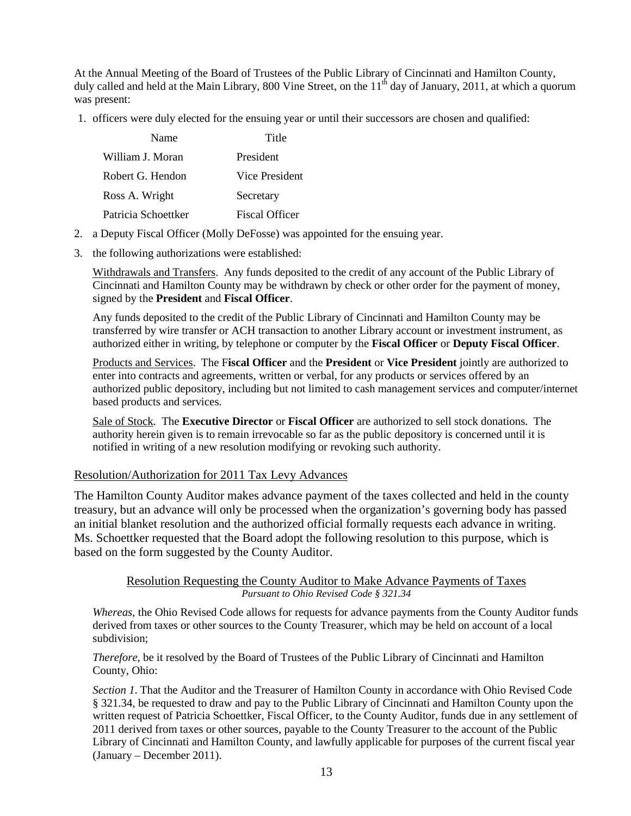At the Annual Meeting of the Board of Trustees of the Public Library of Cincinnati and Hamilton County, duly called and held at the Main Library, 800 Vine Street, on the  $11<sup>th</sup>$  day of January, 2011, at which a quorum was present:

1. officers were duly elected for the ensuing year or until their successors are chosen and qualified:

| Name                | Title                 |
|---------------------|-----------------------|
| William J. Moran    | President             |
| Robert G. Hendon    | Vice President        |
| Ross A. Wright      | Secretary             |
| Patricia Schoettker | <b>Fiscal Officer</b> |

- 2. a Deputy Fiscal Officer (Molly DeFosse) was appointed for the ensuing year.
- 3. the following authorizations were established:

Withdrawals and Transfers. Any funds deposited to the credit of any account of the Public Library of Cincinnati and Hamilton County may be withdrawn by check or other order for the payment of money, signed by the **President** and **Fiscal Officer**.

Any funds deposited to the credit of the Public Library of Cincinnati and Hamilton County may be transferred by wire transfer or ACH transaction to another Library account or investment instrument, as authorized either in writing, by telephone or computer by the **Fiscal Officer** or **Deputy Fiscal Officer**.

Products and Services. The F**iscal Officer** and the **President** or **Vice President** jointly are authorized to enter into contracts and agreements, written or verbal, for any products or services offered by an authorized public depository, including but not limited to cash management services and computer/internet based products and services.

Sale of Stock. The **Executive Director** or **Fiscal Officer** are authorized to sell stock donations. The authority herein given is to remain irrevocable so far as the public depository is concerned until it is notified in writing of a new resolution modifying or revoking such authority.

## Resolution/Authorization for 2011 Tax Levy Advances

The Hamilton County Auditor makes advance payment of the taxes collected and held in the county treasury, but an advance will only be processed when the organization's governing body has passed an initial blanket resolution and the authorized official formally requests each advance in writing. Ms. Schoettker requested that the Board adopt the following resolution to this purpose, which is based on the form suggested by the County Auditor.

> Resolution Requesting the County Auditor to Make Advance Payments of Taxes *Pursuant to Ohio Revised Code § 321.34*

*Whereas*, the Ohio Revised Code allows for requests for advance payments from the County Auditor funds derived from taxes or other sources to the County Treasurer, which may be held on account of a local subdivision;

*Therefore*, be it resolved by the Board of Trustees of the Public Library of Cincinnati and Hamilton County, Ohio:

*Section 1*. That the Auditor and the Treasurer of Hamilton County in accordance with Ohio Revised Code § 321.34, be requested to draw and pay to the Public Library of Cincinnati and Hamilton County upon the written request of Patricia Schoettker, Fiscal Officer, to the County Auditor, funds due in any settlement of 2011 derived from taxes or other sources, payable to the County Treasurer to the account of the Public Library of Cincinnati and Hamilton County, and lawfully applicable for purposes of the current fiscal year (January – December 2011).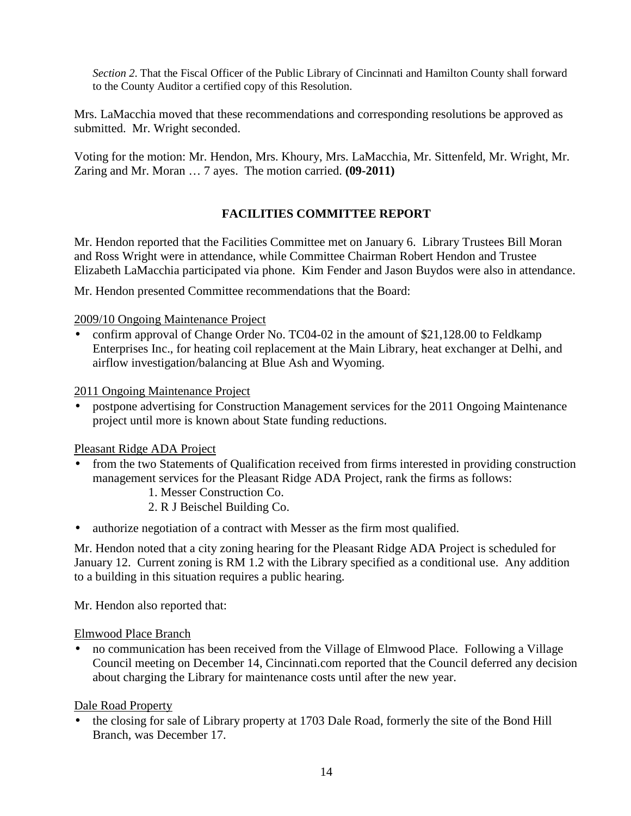*Section 2*. That the Fiscal Officer of the Public Library of Cincinnati and Hamilton County shall forward to the County Auditor a certified copy of this Resolution.

Mrs. LaMacchia moved that these recommendations and corresponding resolutions be approved as submitted. Mr. Wright seconded.

Voting for the motion: Mr. Hendon, Mrs. Khoury, Mrs. LaMacchia, Mr. Sittenfeld, Mr. Wright, Mr. Zaring and Mr. Moran … 7 ayes. The motion carried. **(09-2011)** 

# **FACILITIES COMMITTEE REPORT**

Mr. Hendon reported that the Facilities Committee met on January 6. Library Trustees Bill Moran and Ross Wright were in attendance, while Committee Chairman Robert Hendon and Trustee Elizabeth LaMacchia participated via phone. Kim Fender and Jason Buydos were also in attendance.

Mr. Hendon presented Committee recommendations that the Board:

## 2009/10 Ongoing Maintenance Project

• confirm approval of Change Order No. TC04-02 in the amount of \$21,128.00 to Feldkamp Enterprises Inc., for heating coil replacement at the Main Library, heat exchanger at Delhi, and airflow investigation/balancing at Blue Ash and Wyoming.

2011 Ongoing Maintenance Project

• postpone advertising for Construction Management services for the 2011 Ongoing Maintenance project until more is known about State funding reductions.

## Pleasant Ridge ADA Project

- from the two Statements of Qualification received from firms interested in providing construction management services for the Pleasant Ridge ADA Project, rank the firms as follows:
	- 1. Messer Construction Co.
	- 2. R J Beischel Building Co.
- authorize negotiation of a contract with Messer as the firm most qualified.

Mr. Hendon noted that a city zoning hearing for the Pleasant Ridge ADA Project is scheduled for January 12. Current zoning is RM 1.2 with the Library specified as a conditional use. Any addition to a building in this situation requires a public hearing.

Mr. Hendon also reported that:

## Elmwood Place Branch

• no communication has been received from the Village of Elmwood Place. Following a Village Council meeting on December 14, Cincinnati.com reported that the Council deferred any decision about charging the Library for maintenance costs until after the new year.

## Dale Road Property

• the closing for sale of Library property at 1703 Dale Road, formerly the site of the Bond Hill Branch, was December 17.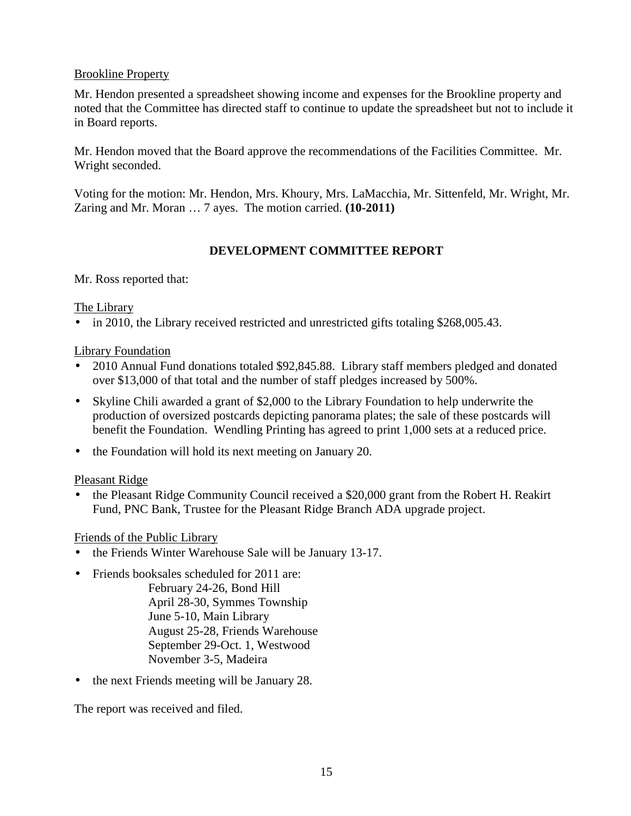# Brookline Property

Mr. Hendon presented a spreadsheet showing income and expenses for the Brookline property and noted that the Committee has directed staff to continue to update the spreadsheet but not to include it in Board reports.

Mr. Hendon moved that the Board approve the recommendations of the Facilities Committee. Mr. Wright seconded.

Voting for the motion: Mr. Hendon, Mrs. Khoury, Mrs. LaMacchia, Mr. Sittenfeld, Mr. Wright, Mr. Zaring and Mr. Moran … 7 ayes. The motion carried. **(10-2011)** 

# **DEVELOPMENT COMMITTEE REPORT**

Mr. Ross reported that:

The Library

• in 2010, the Library received restricted and unrestricted gifts totaling \$268,005.43.

Library Foundation

- 2010 Annual Fund donations totaled \$92,845.88. Library staff members pledged and donated over \$13,000 of that total and the number of staff pledges increased by 500%.
- Skyline Chili awarded a grant of \$2,000 to the Library Foundation to help underwrite the production of oversized postcards depicting panorama plates; the sale of these postcards will benefit the Foundation. Wendling Printing has agreed to print 1,000 sets at a reduced price.
- the Foundation will hold its next meeting on January 20.

Pleasant Ridge

• the Pleasant Ridge Community Council received a \$20,000 grant from the Robert H. Reakirt Fund, PNC Bank, Trustee for the Pleasant Ridge Branch ADA upgrade project.

# Friends of the Public Library

- the Friends Winter Warehouse Sale will be January 13-17.
- Friends booksales scheduled for 2011 are: February 24-26, Bond Hill April 28-30, Symmes Township June 5-10, Main Library August 25-28, Friends Warehouse September 29-Oct. 1, Westwood November 3-5, Madeira
- the next Friends meeting will be January 28.

The report was received and filed.